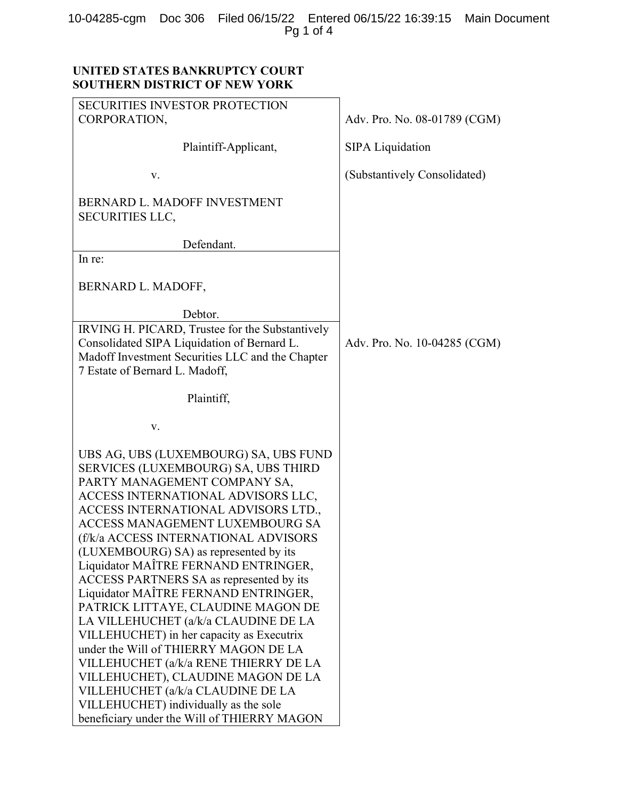## 10-04285-cgm Doc 306 Filed 06/15/22 Entered 06/15/22 16:39:15 Main Document Pg 1 of 4

# UNITED STATES BANKRUPTCY COURT SOUTHERN DISTRICT OF NEW YORK

| <b>SECURITIES INVESTOR PROTECTION</b>                                                                                                                                                                                                                                                                                                                                                                                                                                                                                                                                                                                                                                                                                                                                                                                      |                              |
|----------------------------------------------------------------------------------------------------------------------------------------------------------------------------------------------------------------------------------------------------------------------------------------------------------------------------------------------------------------------------------------------------------------------------------------------------------------------------------------------------------------------------------------------------------------------------------------------------------------------------------------------------------------------------------------------------------------------------------------------------------------------------------------------------------------------------|------------------------------|
| CORPORATION,                                                                                                                                                                                                                                                                                                                                                                                                                                                                                                                                                                                                                                                                                                                                                                                                               | Adv. Pro. No. 08-01789 (CGM) |
| Plaintiff-Applicant,                                                                                                                                                                                                                                                                                                                                                                                                                                                                                                                                                                                                                                                                                                                                                                                                       | <b>SIPA Liquidation</b>      |
| V.                                                                                                                                                                                                                                                                                                                                                                                                                                                                                                                                                                                                                                                                                                                                                                                                                         | (Substantively Consolidated) |
| BERNARD L. MADOFF INVESTMENT<br><b>SECURITIES LLC,</b>                                                                                                                                                                                                                                                                                                                                                                                                                                                                                                                                                                                                                                                                                                                                                                     |                              |
| Defendant.                                                                                                                                                                                                                                                                                                                                                                                                                                                                                                                                                                                                                                                                                                                                                                                                                 |                              |
| In re:                                                                                                                                                                                                                                                                                                                                                                                                                                                                                                                                                                                                                                                                                                                                                                                                                     |                              |
| BERNARD L. MADOFF,                                                                                                                                                                                                                                                                                                                                                                                                                                                                                                                                                                                                                                                                                                                                                                                                         |                              |
| Debtor.                                                                                                                                                                                                                                                                                                                                                                                                                                                                                                                                                                                                                                                                                                                                                                                                                    |                              |
| IRVING H. PICARD, Trustee for the Substantively<br>Consolidated SIPA Liquidation of Bernard L.<br>Madoff Investment Securities LLC and the Chapter<br>7 Estate of Bernard L. Madoff,                                                                                                                                                                                                                                                                                                                                                                                                                                                                                                                                                                                                                                       | Adv. Pro. No. 10-04285 (CGM) |
| Plaintiff,                                                                                                                                                                                                                                                                                                                                                                                                                                                                                                                                                                                                                                                                                                                                                                                                                 |                              |
| V.                                                                                                                                                                                                                                                                                                                                                                                                                                                                                                                                                                                                                                                                                                                                                                                                                         |                              |
| UBS AG, UBS (LUXEMBOURG) SA, UBS FUND<br>SERVICES (LUXEMBOURG) SA, UBS THIRD<br>PARTY MANAGEMENT COMPANY SA,<br>ACCESS INTERNATIONAL ADVISORS LLC,<br>ACCESS INTERNATIONAL ADVISORS LTD.,<br>ACCESS MANAGEMENT LUXEMBOURG SA<br>(f/k/a ACCESS INTERNATIONAL ADVISORS<br>(LUXEMBOURG) SA) as represented by its<br>Liquidator MAÎTRE FERNAND ENTRINGER,<br>ACCESS PARTNERS SA as represented by its<br>Liquidator MAÎTRE FERNAND ENTRINGER,<br>PATRICK LITTAYE, CLAUDINE MAGON DE<br>LA VILLEHUCHET (a/k/a CLAUDINE DE LA<br>VILLEHUCHET) in her capacity as Executrix<br>under the Will of THIERRY MAGON DE LA<br>VILLEHUCHET (a/k/a RENE THIERRY DE LA<br>VILLEHUCHET), CLAUDINE MAGON DE LA<br>VILLEHUCHET (a/k/a CLAUDINE DE LA<br>VILLEHUCHET) individually as the sole<br>beneficiary under the Will of THIERRY MAGON |                              |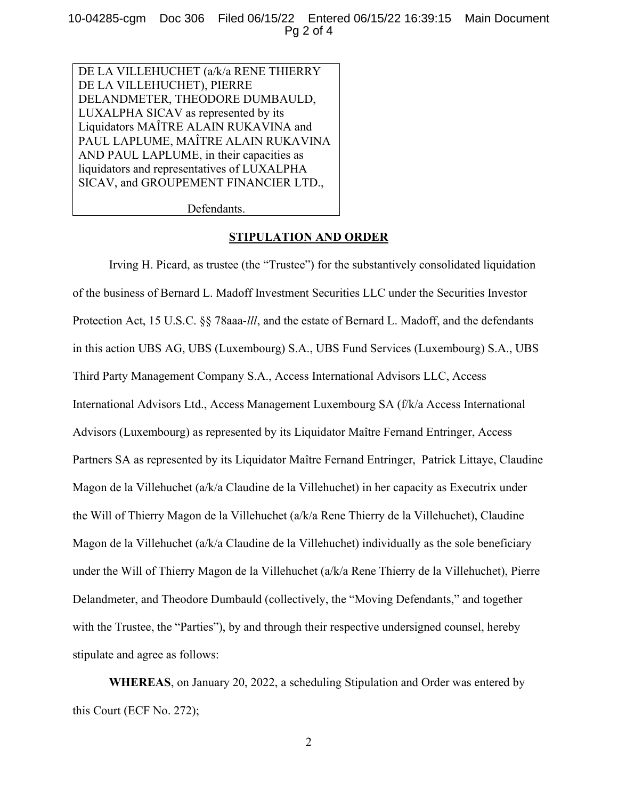10-04285-cgm Doc 306 Filed 06/15/22 Entered 06/15/22 16:39:15 Main Document Pg 2 of 4

DE LA VILLEHUCHET (a/k/a RENE THIERRY DE LA VILLEHUCHET), PIERRE DELANDMETER, THEODORE DUMBAULD, LUXALPHA SICAV as represented by its Liquidators MAÎTRE ALAIN RUKAVINA and PAUL LAPLUME, MAÎTRE ALAIN RUKAVINA AND PAUL LAPLUME, in their capacities as liquidators and representatives of LUXALPHA SICAV, and GROUPEMENT FINANCIER LTD.,

Defendants.

#### STIPULATION AND ORDER

Irving H. Picard, as trustee (the "Trustee") for the substantively consolidated liquidation of the business of Bernard L. Madoff Investment Securities LLC under the Securities Investor Protection Act, 15 U.S.C. §§ 78aaa-*lll*, and the estate of Bernard L. Madoff, and the defendants in this action UBS AG, UBS (Luxembourg) S.A., UBS Fund Services (Luxembourg) S.A., UBS Third Party Management Company S.A., Access International Advisors LLC, Access International Advisors Ltd., Access Management Luxembourg SA (f/k/a Access International Advisors (Luxembourg) as represented by its Liquidator Maître Fernand Entringer, Access Partners SA as represented by its Liquidator Maître Fernand Entringer, Patrick Littaye, Claudine Magon de la Villehuchet (a/k/a Claudine de la Villehuchet) in her capacity as Executrix under the Will of Thierry Magon de la Villehuchet (a/k/a Rene Thierry de la Villehuchet), Claudine Magon de la Villehuchet (a/k/a Claudine de la Villehuchet) individually as the sole beneficiary under the Will of Thierry Magon de la Villehuchet (a/k/a Rene Thierry de la Villehuchet), Pierre Delandmeter, and Theodore Dumbauld (collectively, the "Moving Defendants," and together with the Trustee, the "Parties"), by and through their respective undersigned counsel, hereby stipulate and agree as follows:

WHEREAS, on January 20, 2022, a scheduling Stipulation and Order was entered by this Court (ECF No. 272);

2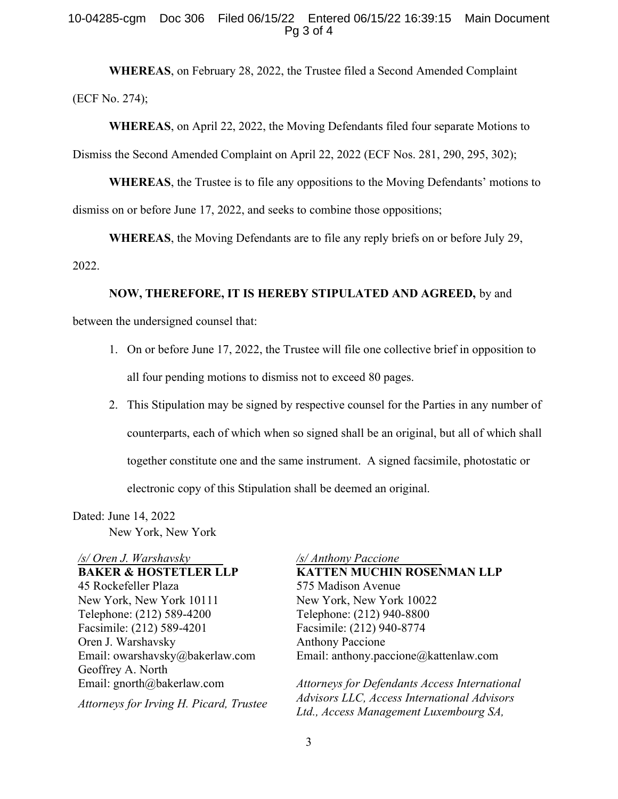#### 10-04285-cgm Doc 306 Filed 06/15/22 Entered 06/15/22 16:39:15 Main Document Pg 3 of 4

WHEREAS, on February 28, 2022, the Trustee filed a Second Amended Complaint (ECF No. 274);

WHEREAS, on April 22, 2022, the Moving Defendants filed four separate Motions to Dismiss the Second Amended Complaint on April 22, 2022 (ECF Nos. 281, 290, 295, 302);

WHEREAS, the Trustee is to file any oppositions to the Moving Defendants' motions to dismiss on or before June 17, 2022, and seeks to combine those oppositions;

WHEREAS, the Moving Defendants are to file any reply briefs on or before July 29, 2022.

#### NOW, THEREFORE, IT IS HEREBY STIPULATED AND AGREED, by and

between the undersigned counsel that:

- 1. On or before June 17, 2022, the Trustee will file one collective brief in opposition to all four pending motions to dismiss not to exceed 80 pages.
- 2. This Stipulation may be signed by respective counsel for the Parties in any number of counterparts, each of which when so signed shall be an original, but all of which shall together constitute one and the same instrument. A signed facsimile, photostatic or electronic copy of this Stipulation shall be deemed an original.

Dated: June 14, 2022 New York, New York

/s/ Oren J. Warshavsky BAKER & HOSTETLER LLP 45 Rockefeller Plaza New York, New York 10111 Telephone: (212) 589-4200 Facsimile: (212) 589-4201 Oren J. Warshavsky Email: owarshavsky@bakerlaw.com Geoffrey A. North Email: gnorth@bakerlaw.com

Attorneys for Irving H. Picard, Trustee

/s/ Anthony Paccione KATTEN MUCHIN ROSENMAN LLP 575 Madison Avenue New York, New York 10022 Telephone: (212) 940-8800 Facsimile: (212) 940-8774 Anthony Paccione Email: anthony.paccione@kattenlaw.com

Attorneys for Defendants Access International Advisors LLC, Access International Advisors Ltd., Access Management Luxembourg SA,